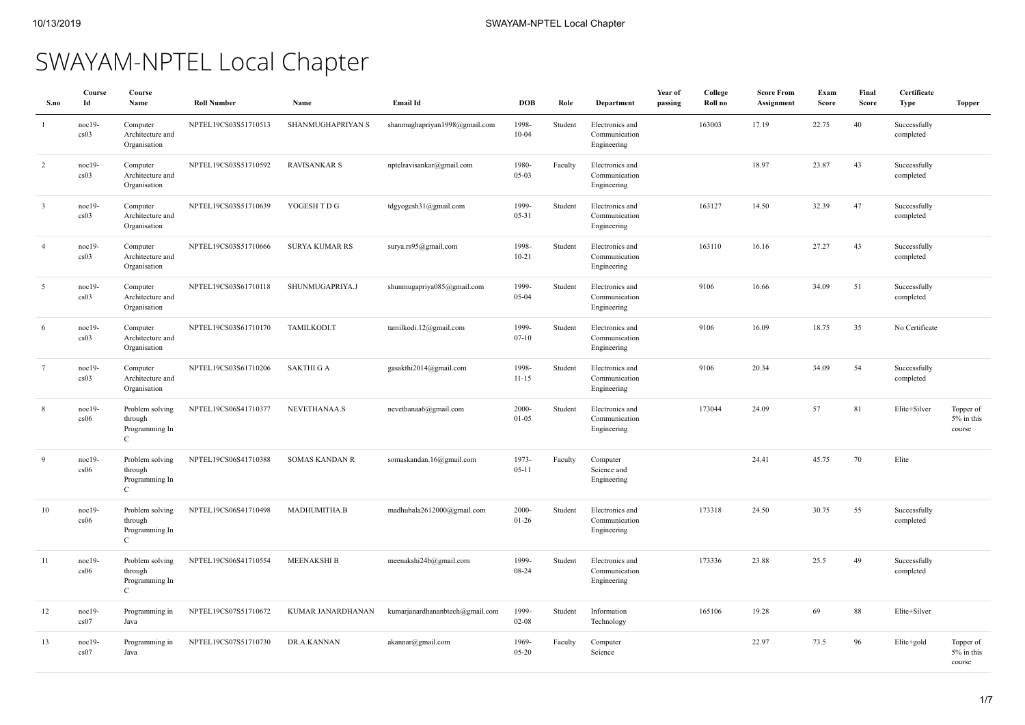# SWAYAM-NPTEL Local Chapter

| S.no                    | Course<br>Id     | Course<br>Name                                               | <b>Roll Number</b>   | Name                  | Email Id                        | <b>DOB</b>            | Role    | Department                                      | Year of<br>passing | College<br>Roll no | <b>Score From</b><br>Assignment | Exam<br>Score | Final<br>Score | Certificate<br><b>Type</b> | <b>Topper</b>                     |
|-------------------------|------------------|--------------------------------------------------------------|----------------------|-----------------------|---------------------------------|-----------------------|---------|-------------------------------------------------|--------------------|--------------------|---------------------------------|---------------|----------------|----------------------------|-----------------------------------|
|                         | $noc19-$<br>cs03 | Computer<br>Architecture and<br>Organisation                 | NPTEL19CS03S51710513 | SHANMUGHAPRIYAN S     | shanmughapriyan1998@gmail.com   | 1998-<br>$10 - 04$    | Student | Electronics and<br>Communication<br>Engineering |                    | 163003             | 17.19                           | 22.75         | 40             | Successfully<br>completed  |                                   |
| $\overline{2}$          | $noc19-$<br>cs03 | Computer<br>Architecture and<br>Organisation                 | NPTEL19CS03S51710592 | <b>RAVISANKAR S</b>   | nptelravisankar@gmail.com       | 1980-<br>$05-03$      | Faculty | Electronics and<br>Communication<br>Engineering |                    |                    | 18.97                           | 23.87         | 43             | Successfully<br>completed  |                                   |
| $\overline{\mathbf{3}}$ | $noc19-$<br>cs03 | Computer<br>Architecture and<br>Organisation                 | NPTEL19CS03S51710639 | YOGESH TDG            | tdgyogesh31@gmail.com           | 1999-<br>05-31        | Student | Electronics and<br>Communication<br>Engineering |                    | 163127             | 14.50                           | 32.39         | 47             | Successfully<br>completed  |                                   |
| $\overline{4}$          | $noc19-$<br>cs03 | Computer<br>Architecture and<br>Organisation                 | NPTEL19CS03S51710666 | <b>SURYA KUMAR RS</b> | surya.rs95@gmail.com            | 1998-<br>$10 - 21$    | Student | Electronics and<br>Communication<br>Engineering |                    | 163110             | 16.16                           | 27.27         | 43             | Successfully<br>completed  |                                   |
| 5                       | $noc19-$<br>cs03 | Computer<br>Architecture and<br>Organisation                 | NPTEL19CS03S61710118 | SHUNMUGAPRIYA.J       | shunmugapriya085@gmail.com      | 1999-<br>$05 - 04$    | Student | Electronics and<br>Communication<br>Engineering |                    | 9106               | 16.66                           | 34.09         | 51             | Successfully<br>completed  |                                   |
| 6                       | noc19-<br>cs03   | Computer<br>Architecture and<br>Organisation                 | NPTEL19CS03S61710170 | TAMILKODI.T           | tamilkodi.12@gmail.com          | 1999-<br>$07 - 10$    | Student | Electronics and<br>Communication<br>Engineering |                    | 9106               | 16.09                           | 18.75         | 35             | No Certificate             |                                   |
| $\overline{7}$          | $noc19-$<br>cs03 | Computer<br>Architecture and<br>Organisation                 | NPTEL19CS03S61710206 | <b>SAKTHI G A</b>     | gasakthi2014@gmail.com          | 1998-<br>$11 - 15$    | Student | Electronics and<br>Communication<br>Engineering |                    | 9106               | 20.34                           | 34.09         | 54             | Successfully<br>completed  |                                   |
| 8                       | $noc19-$<br>cs06 | Problem solving<br>through<br>Programming In<br>$\mathbf C$  | NPTEL19CS06S41710377 | NEVETHANAA.S          | nevethanaa6@gmail.com           | $2000 -$<br>$01 - 05$ | Student | Electronics and<br>Communication<br>Engineering |                    | 173044             | 24.09                           | 57            | 81             | Elite+Silver               | Topper of<br>5% in this<br>course |
| $\mathbf{Q}$            | $noc19-$<br>cs06 | Problem solving<br>through<br>Programming In<br>$\mathsf{C}$ | NPTEL19CS06S41710388 | <b>SOMAS KANDAN R</b> | somaskandan.16@gmail.com        | 1973-<br>$05 - 11$    | Faculty | Computer<br>Science and<br>Engineering          |                    |                    | 24.41                           | 45.75         | 70             | Elite                      |                                   |
| 10                      | $noc19-$<br>cs06 | Problem solving<br>through<br>Programming In<br>$\mathbf{C}$ | NPTEL19CS06S41710498 | MADHUMITHA.B          | madhubala2612000@gmail.com      | 2000-<br>$01 - 26$    | Student | Electronics and<br>Communication<br>Engineering |                    | 173318             | 24.50                           | 30.75         | 55             | Successfully<br>completed  |                                   |
| 11                      | $noc19-$<br>cs06 | Problem solving<br>through<br>Programming In<br>$\mathbf{C}$ | NPTEL19CS06S41710554 | <b>MEENAKSHI B</b>    | meenakshi24b@gmail.com          | 1999-<br>08-24        | Student | Electronics and<br>Communication<br>Engineering |                    | 173336             | 23.88                           | 25.5          | 49             | Successfully<br>completed  |                                   |
| 12                      | $noc19-$<br>cs07 | Programming in<br>Java                                       | NPTEL19CS07S51710672 | KUMAR JANARDHANAN     | kumarjanardhananbtech@gmail.com | 1999-<br>$02 - 08$    | Student | Information<br>Technology                       |                    | 165106             | 19.28                           | 69            | 88             | Elite+Silver               |                                   |
| 13                      | noc19-<br>cs07   | Programming in<br>Java                                       | NPTEL19CS07S51710730 | DR.A.KANNAN           | akannar@gmail.com               | 1969-<br>05-20        | Faculty | Computer<br>Science                             |                    |                    | 22.97                           | 73.5          | 96             | Elite+gold                 | Topper of<br>5% in this<br>course |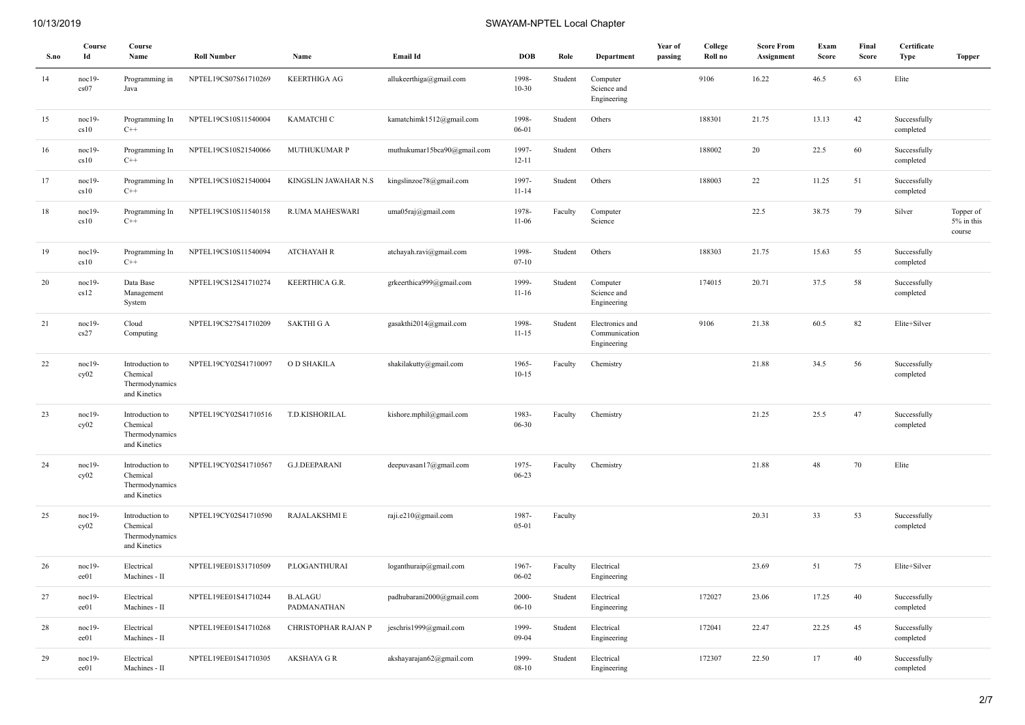| S.no   | Course<br>Id     | Course<br>Name                                                | <b>Roll Number</b>   | Name                          | <b>Email Id</b>             | <b>DOB</b>         | Role    | Department                                      | Year of<br>passing | College<br>Roll no | <b>Score From</b><br>Assignment | Exam<br>Score | Final<br>Score | Certificate<br><b>Type</b> | <b>Topper</b>                     |
|--------|------------------|---------------------------------------------------------------|----------------------|-------------------------------|-----------------------------|--------------------|---------|-------------------------------------------------|--------------------|--------------------|---------------------------------|---------------|----------------|----------------------------|-----------------------------------|
| 14     | noc19-<br>cs07   | Programming in<br>Java                                        | NPTEL19CS07S61710269 | <b>KEERTHIGA AG</b>           | allukeerthiga@gmail.com     | 1998-<br>$10 - 30$ | Student | Computer<br>Science and<br>Engineering          |                    | 9106               | 16.22                           | 46.5          | 63             | Elite                      |                                   |
| 15     | noc19-<br>cs10   | Programming In<br>$C++$                                       | NPTEL19CS10S11540004 | КАМАТСНІ С                    | kamatchimk1512@gmail.com    | 1998-<br>06-01     | Student | Others                                          |                    | 188301             | 21.75                           | 13.13         | 42             | Successfully<br>completed  |                                   |
| 16     | noc19-<br>cs10   | Programming In<br>$C++$                                       | NPTEL19CS10S21540066 | MUTHUKUMAR P                  | muthukumar15bca90@gmail.com | 1997-<br>$12 - 11$ | Student | Others                                          |                    | 188002             | 20                              | 22.5          | 60             | Successfully<br>completed  |                                   |
| 17     | noc19-<br>cs10   | Programming In<br>$C++$                                       | NPTEL19CS10S21540004 | KINGSLIN JAWAHAR N.S          | kingslinzoe78@gmail.com     | 1997-<br>$11 - 14$ | Student | Others                                          |                    | 188003             | 22                              | 11.25         | 51             | Successfully<br>completed  |                                   |
| 18     | noc19-<br>cs10   | Programming In<br>$C++$                                       | NPTEL19CS10S11540158 | R.UMA MAHESWARI               | uma05raj@gmail.com          | 1978-<br>$11-06$   | Faculty | Computer<br>Science                             |                    |                    | 22.5                            | 38.75         | 79             | Silver                     | Topper of<br>5% in this<br>course |
| 19     | noc19-<br>cs10   | Programming In<br>$C++$                                       | NPTEL19CS10S11540094 | <b>ATCHAYAH R</b>             | atchayah.ravi@gmail.com     | 1998-<br>$07 - 10$ | Student | Others                                          |                    | 188303             | 21.75                           | 15.63         | 55             | Successfully<br>completed  |                                   |
| $20\,$ | $noc19-$<br>cs12 | Data Base<br>Management<br>System                             | NPTEL19CS12S41710274 | KEERTHICA G.R.                | grkeerthica999@gmail.com    | 1999-<br>$11 - 16$ | Student | Computer<br>Science and<br>Engineering          |                    | 174015             | 20.71                           | 37.5          | 58             | Successfully<br>completed  |                                   |
| 21     | noc19-<br>cs27   | Cloud<br>Computing                                            | NPTEL19CS27S41710209 | <b>SAKTHI G A</b>             | gasakthi2014@gmail.com      | 1998-<br>$11 - 15$ | Student | Electronics and<br>Communication<br>Engineering |                    | 9106               | 21.38                           | 60.5          | 82             | Elite+Silver               |                                   |
| 22     | noc19-<br>cy02   | Introduction to<br>Chemical<br>Thermodynamics<br>and Kinetics | NPTEL19CY02S41710097 | O D SHAKILA                   | shakilakutty@gmail.com      | 1965-<br>$10 - 15$ | Faculty | Chemistry                                       |                    |                    | 21.88                           | 34.5          | 56             | Successfully<br>completed  |                                   |
| 23     | noc19-<br>cy02   | Introduction to<br>Chemical<br>Thermodynamics<br>and Kinetics | NPTEL19CY02S41710516 | T.D.KISHORILAL                | kishore.mphil@gmail.com     | 1983-<br>06-30     | Faculty | Chemistry                                       |                    |                    | 21.25                           | 25.5          | 47             | Successfully<br>completed  |                                   |
| 24     | noc19-<br>cy02   | Introduction to<br>Chemical<br>Thermodynamics<br>and Kinetics | NPTEL19CY02S41710567 | <b>G.J.DEEPARANI</b>          | deepuvasan17@gmail.com      | 1975-<br>$06 - 23$ | Faculty | Chemistry                                       |                    |                    | 21.88                           | 48            | $70\,$         | Elite                      |                                   |
| 25     | noc19-<br>cy02   | Introduction to<br>Chemical<br>Thermodynamics<br>and Kinetics | NPTEL19CY02S41710590 | RAJALAKSHMI E                 | raji.e210@gmail.com         | 1987-<br>$05 - 01$ | Faculty |                                                 |                    |                    | 20.31                           | 33            | 53             | Successfully<br>completed  |                                   |
| 26     | noc19-<br>ee01   | Electrical<br>Machines - II                                   | NPTEL19EE01S31710509 | P.LOGANTHURAI                 | loganthuraip@gmail.com      | 1967-<br>$06 - 02$ | Faculty | Electrical<br>Engineering                       |                    |                    | 23.69                           | 51            | 75             | Elite+Silver               |                                   |
| 27     | noc19-<br>ee01   | Electrical<br>Machines - II                                   | NPTEL19EE01S41710244 | <b>B.ALAGU</b><br>PADMANATHAN | padhubarani2000@gmail.com   | 2000-<br>$06 - 10$ | Student | Electrical<br>Engineering                       |                    | 172027             | 23.06                           | 17.25         | 40             | Successfully<br>completed  |                                   |
| $28\,$ | noc19-<br>ee01   | Electrical<br>Machines - II                                   | NPTEL19EE01S41710268 | CHRISTOPHAR RAJAN P           | jeschris1999@gmail.com      | 1999-<br>$09 - 04$ | Student | Electrical<br>Engineering                       |                    | 172041             | 22.47                           | 22.25         | 45             | Successfully<br>completed  |                                   |
| 29     | $noc19-$<br>ee01 | Electrical<br>Machines - II                                   | NPTEL19EE01S41710305 | <b>AKSHAYA G R</b>            | akshayarajan62@gmail.com    | 1999-<br>$08 - 10$ | Student | Electrical<br>Engineering                       |                    | 172307             | 22.50                           | 17            | 40             | Successfully<br>completed  |                                   |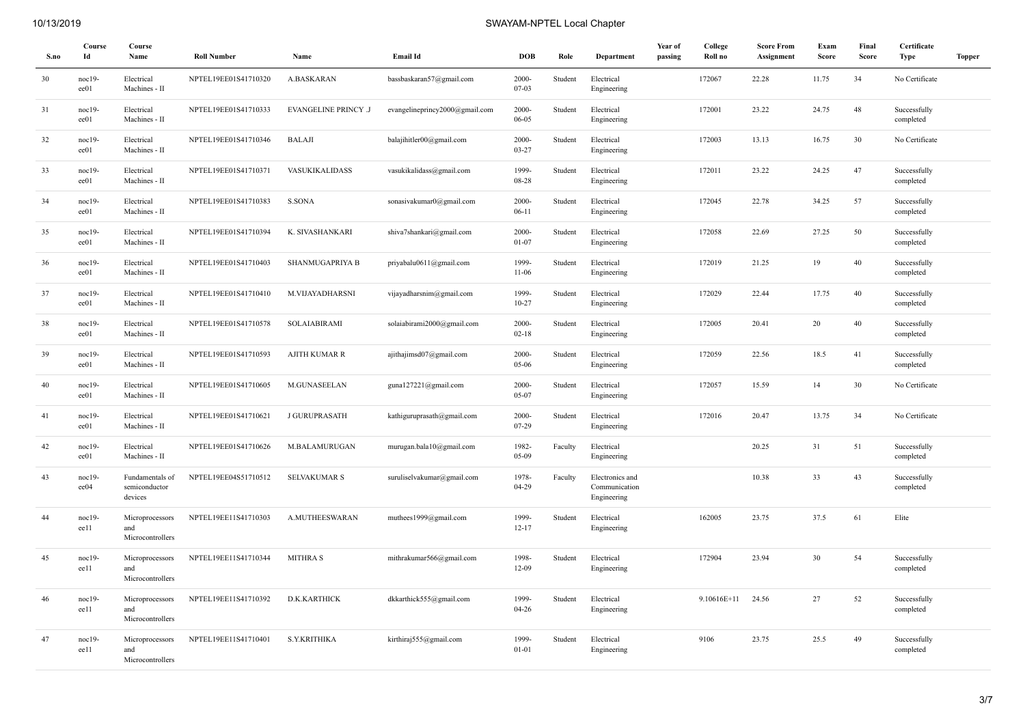| S.no | Course<br>Id     | Course<br>Name                              | <b>Roll Number</b>   | Name                        | <b>Email Id</b>                | <b>DOB</b>         | Role    | Department                                      | Year of<br>passing | College<br>Roll no | <b>Score From</b><br>Assignment | Exam<br><b>Score</b> | Final<br><b>Score</b> | Certificate<br><b>Type</b> | <b>Topper</b> |
|------|------------------|---------------------------------------------|----------------------|-----------------------------|--------------------------------|--------------------|---------|-------------------------------------------------|--------------------|--------------------|---------------------------------|----------------------|-----------------------|----------------------------|---------------|
| 30   | $noc19-$<br>ee01 | Electrical<br>Machines - II                 | NPTEL19EE01S41710320 | <b>A.BASKARAN</b>           | bassbaskaran57@gmail.com       | 2000-<br>07-03     | Student | Electrical<br>Engineering                       |                    | 172067             | 22.28                           | 11.75                | 34                    | No Certificate             |               |
| 31   | $noc19-$<br>ee01 | Electrical<br>Machines - II                 | NPTEL19EE01S41710333 | <b>EVANGELINE PRINCY .J</b> | evangelineprincy2000@gmail.com | 2000-<br>06-05     | Student | Electrical<br>Engineering                       |                    | 172001             | 23.22                           | 24.75                | 48                    | Successfully<br>completed  |               |
| 32   | $noc19-$<br>ee01 | Electrical<br>Machines - II                 | NPTEL19EE01S41710346 | <b>BALAJI</b>               | balajihitler00@gmail.com       | 2000-<br>03-27     | Student | Electrical<br>Engineering                       |                    | 172003             | 13.13                           | 16.75                | 30                    | No Certificate             |               |
| 33   | noc19-<br>ee01   | Electrical<br>Machines - II                 | NPTEL19EE01S41710371 | <b>VASUKIKALIDASS</b>       | vasukikalidass@gmail.com       | 1999-<br>08-28     | Student | Electrical<br>Engineering                       |                    | 172011             | 23.22                           | 24.25                | 47                    | Successfully<br>completed  |               |
| 34   | $noc19-$<br>ee01 | Electrical<br>Machines - II                 | NPTEL19EE01S41710383 | S.SONA                      | sonasivakumar0@gmail.com       | 2000-<br>$06 - 11$ | Student | Electrical<br>Engineering                       |                    | 172045             | 22.78                           | 34.25                | 57                    | Successfully<br>completed  |               |
| 35   | noc19-<br>ee01   | Electrical<br>Machines - II                 | NPTEL19EE01S41710394 | K. SIVASHANKARI             | shiva7shankari@gmail.com       | 2000-<br>$01 - 07$ | Student | Electrical<br>Engineering                       |                    | 172058             | 22.69                           | 27.25                | 50                    | Successfully<br>completed  |               |
| 36   | $noc19-$<br>ee01 | Electrical<br>Machines - II                 | NPTEL19EE01S41710403 | SHANMUGAPRIYA B             | priyabalu0611@gmail.com        | 1999-<br>$11-06$   | Student | Electrical<br>Engineering                       |                    | 172019             | 21.25                           | 19                   | 40                    | Successfully<br>completed  |               |
| 37   | noc19-<br>ee01   | Electrical<br>Machines - II                 | NPTEL19EE01S41710410 | M.VIJAYADHARSNI             | vijayadharsnim@gmail.com       | 1999-<br>$10 - 27$ | Student | Electrical<br>Engineering                       |                    | 172029             | 22.44                           | 17.75                | 40                    | Successfully<br>completed  |               |
| 38   | $noc19-$<br>ee01 | Electrical<br>Machines - II                 | NPTEL19EE01S41710578 | SOLAIABIRAMI                | solaiabirami2000@gmail.com     | 2000-<br>$02 - 18$ | Student | Electrical<br>Engineering                       |                    | 172005             | 20.41                           | 20                   | 40                    | Successfully<br>completed  |               |
| 39   | $noc19-$<br>ee01 | Electrical<br>Machines - II                 | NPTEL19EE01S41710593 | <b>AJITH KUMAR R</b>        | ajithajimsd07@gmail.com        | 2000-<br>05-06     | Student | Electrical<br>Engineering                       |                    | 172059             | 22.56                           | 18.5                 | 41                    | Successfully<br>completed  |               |
| 40   | $noc19-$<br>ee01 | Electrical<br>Machines - II                 | NPTEL19EE01S41710605 | M.GUNASEELAN                | guna127221@gmail.com           | 2000-<br>05-07     | Student | Electrical<br>Engineering                       |                    | 172057             | 15.59                           | 14                   | 30                    | No Certificate             |               |
| 41   | $noc19-$<br>ee01 | Electrical<br>Machines - II                 | NPTEL19EE01S41710621 | <b>J GURUPRASATH</b>        | kathiguruprasath@gmail.com     | $2000 -$<br>07-29  | Student | Electrical<br>Engineering                       |                    | 172016             | 20.47                           | 13.75                | 34                    | No Certificate             |               |
| 42   | $noc19-$<br>ee01 | Electrical<br>Machines - II                 | NPTEL19EE01S41710626 | M.BALAMURUGAN               | murugan.bala10@gmail.com       | 1982-<br>$05-09$   | Faculty | Electrical<br>Engineering                       |                    |                    | 20.25                           | 31                   | 51                    | Successfully<br>completed  |               |
| 43   | $noc19-$<br>ee04 | Fundamentals of<br>semiconductor<br>devices | NPTEL19EE04S51710512 | <b>SELVAKUMAR S</b>         | suruliselvakumar@gmail.com     | 1978-<br>$04 - 29$ | Faculty | Electronics and<br>Communication<br>Engineering |                    |                    | 10.38                           | 33                   | 43                    | Successfully<br>completed  |               |
| 44   | $noc19-$<br>ee11 | Microprocessors<br>and<br>Microcontrollers  | NPTEL19EE11S41710303 | A.MUTHEESWARAN              | muthees1999@gmail.com          | 1999-<br>$12 - 17$ | Student | Electrical<br>Engineering                       |                    | 162005             | 23.75                           | 37.5                 | 61                    | Elite                      |               |
| 45   | $noc19-$<br>ee11 | Microprocessors<br>and<br>Microcontrollers  | NPTEL19EE11S41710344 | <b>MITHRA S</b>             | mithrakumar566@gmail.com       | 1998-<br>$12-09$   | Student | Electrical<br>Engineering                       |                    | 172904             | 23.94                           | 30                   | 54                    | Successfully<br>completed  |               |
| 46   | $noc19-$<br>ee11 | Microprocessors<br>and<br>Microcontrollers  | NPTEL19EE11S41710392 | D.K.KARTHICK                | dkkarthick555@gmail.com        | 1999-<br>$04 - 26$ | Student | Electrical<br>Engineering                       |                    | 9.10616E+11        | 24.56                           | 27                   | 52                    | Successfully<br>completed  |               |
| 47   | $noc19-$<br>ee11 | Microprocessors<br>and<br>Microcontrollers  | NPTEL19EE11S41710401 | S.Y.KRITHIKA                | kirthiraj555@gmail.com         | 1999-<br>$01 - 01$ | Student | Electrical<br>Engineering                       |                    | 9106               | 23.75                           | 25.5                 | 49                    | Successfully<br>completed  |               |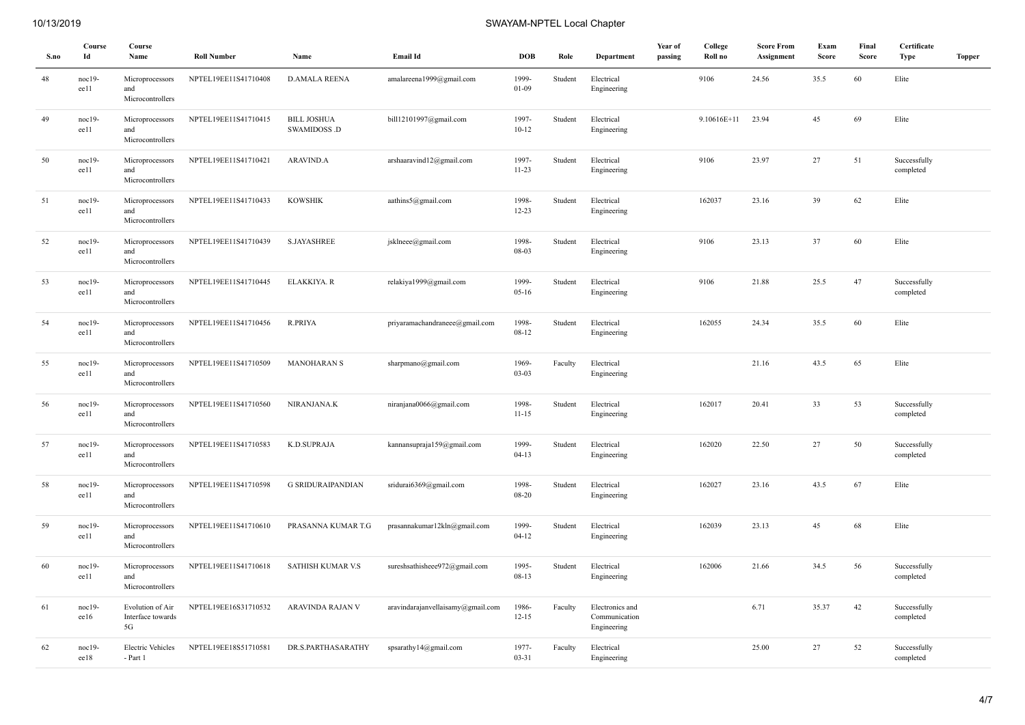| S.no | Course<br>Id     | Course<br>Name                              | <b>Roll Number</b>   | Name                               | Email Id                          | <b>DOB</b>         | Role    | Department                                      | Year of<br>passing | College<br>Roll no | <b>Score From</b><br>Assignment | Exam<br><b>Score</b> | Final<br><b>Score</b> | Certificate<br><b>Type</b> | <b>Topper</b> |
|------|------------------|---------------------------------------------|----------------------|------------------------------------|-----------------------------------|--------------------|---------|-------------------------------------------------|--------------------|--------------------|---------------------------------|----------------------|-----------------------|----------------------------|---------------|
| 48   | noc19-<br>ee11   | Microprocessors<br>and<br>Microcontrollers  | NPTEL19EE11S41710408 | <b>D.AMALA REENA</b>               | amalareena1999@gmail.com          | 1999-<br>$01-09$   | Student | Electrical<br>Engineering                       |                    | 9106               | 24.56                           | 35.5                 | 60                    | Elite                      |               |
| 49   | $noc19-$<br>ee11 | Microprocessors<br>and<br>Microcontrollers  | NPTEL19EE11S41710415 | <b>BILL JOSHUA</b><br>SWAMIDOSS .D | bill12101997@gmail.com            | 1997-<br>$10 - 12$ | Student | Electrical<br>Engineering                       |                    | 9.10616E+11        | 23.94                           | 45                   | 69                    | Elite                      |               |
| 50   | noc19-<br>ee11   | Microprocessors<br>and<br>Microcontrollers  | NPTEL19EE11S41710421 | ARAVIND.A                          | arshaaravind12@gmail.com          | 1997-<br>$11-23$   | Student | Electrical<br>Engineering                       |                    | 9106               | 23.97                           | 27                   | 51                    | Successfully<br>completed  |               |
| 51   | noc19-<br>ee11   | Microprocessors<br>and<br>Microcontrollers  | NPTEL19EE11S41710433 | <b>KOWSHIK</b>                     | aathins5@gmail.com                | 1998-<br>$12 - 23$ | Student | Electrical<br>Engineering                       |                    | 162037             | 23.16                           | 39                   | 62                    | Elite                      |               |
| 52   | noc19-<br>ee11   | Microprocessors<br>and<br>Microcontrollers  | NPTEL19EE11S41710439 | <b>S.JAYASHREE</b>                 | jsklneee@gmail.com                | 1998-<br>08-03     | Student | Electrical<br>Engineering                       |                    | 9106               | 23.13                           | 37                   | 60                    | Elite                      |               |
| 53   | noc19-<br>ee11   | Microprocessors<br>and<br>Microcontrollers  | NPTEL19EE11S41710445 | ELAKKIYA. R                        | relakiya1999@gmail.com            | 1999-<br>$05-16$   | Student | Electrical<br>Engineering                       |                    | 9106               | 21.88                           | 25.5                 | 47                    | Successfully<br>completed  |               |
| 54   | noc19-<br>ee11   | Microprocessors<br>and<br>Microcontrollers  | NPTEL19EE11S41710456 | <b>R.PRIYA</b>                     | priyaramachandraneee@gmail.com    | 1998-<br>$08 - 12$ | Student | Electrical<br>Engineering                       |                    | 162055             | 24.34                           | 35.5                 | 60                    | Elite                      |               |
| 55   | noc19-<br>ee11   | Microprocessors<br>and<br>Microcontrollers  | NPTEL19EE11S41710509 | <b>MANOHARAN S</b>                 | sharpmano@gmail.com               | 1969-<br>$03 - 03$ | Faculty | Electrical<br>Engineering                       |                    |                    | 21.16                           | 43.5                 | 65                    | Elite                      |               |
| 56   | noc19-<br>ee11   | Microprocessors<br>and<br>Microcontrollers  | NPTEL19EE11S41710560 | NIRANJANA.K                        | niranjana0066@gmail.com           | 1998-<br>$11 - 15$ | Student | Electrical<br>Engineering                       |                    | 162017             | 20.41                           | 33                   | 53                    | Successfully<br>completed  |               |
| 57   | noc19-<br>ee11   | Microprocessors<br>and<br>Microcontrollers  | NPTEL19EE11S41710583 | K.D.SUPRAJA                        | kannansupraja159@gmail.com        | 1999-<br>$04-13$   | Student | Electrical<br>Engineering                       |                    | 162020             | 22.50                           | 27                   | 50                    | Successfully<br>completed  |               |
| 58   | noc19-<br>ee11   | Microprocessors<br>and<br>Microcontrollers  | NPTEL19EE11S41710598 | <b>G SRIDURAIPANDIAN</b>           | sridurai6369@gmail.com            | 1998-<br>08-20     | Student | Electrical<br>Engineering                       |                    | 162027             | 23.16                           | 43.5                 | 67                    | Elite                      |               |
| 59   | noc19-<br>ee11   | Microprocessors<br>and<br>Microcontrollers  | NPTEL19EE11S41710610 | PRASANNA KUMAR T.G                 | prasannakumar12kln@gmail.com      | 1999-<br>$04 - 12$ | Student | Electrical<br>Engineering                       |                    | 162039             | 23.13                           | 45                   | 68                    | Elite                      |               |
| 60   | noc19-<br>ee11   | Microprocessors<br>and<br>Microcontrollers  | NPTEL19EE11S41710618 | SATHISH KUMAR V.S                  | sureshsathisheee972@gmail.com     | 1995-<br>08-13     | Student | Electrical<br>Engineering                       |                    | 162006             | 21.66                           | 34.5                 | 56                    | Successfully<br>completed  |               |
| 61   | noc19-<br>ee16   | Evolution of Air<br>Interface towards<br>5G | NPTEL19EE16S31710532 | ARAVINDA RAJAN V                   | aravindarajanvellaisamy@gmail.com | 1986-<br>$12 - 15$ | Faculty | Electronics and<br>Communication<br>Engineering |                    |                    | 6.71                            | 35.37                | 42                    | Successfully<br>completed  |               |
| 62   | $noc19-$<br>ee18 | <b>Electric Vehicles</b><br>- Part 1        | NPTEL19EE18S51710581 | DR.S.PARTHASARATHY                 | spsarathy $14@g$ mail.com         | 1977-<br>$03 - 31$ | Faculty | Electrical<br>Engineering                       |                    |                    | 25.00                           | 27                   | 52                    | Successfully<br>completed  |               |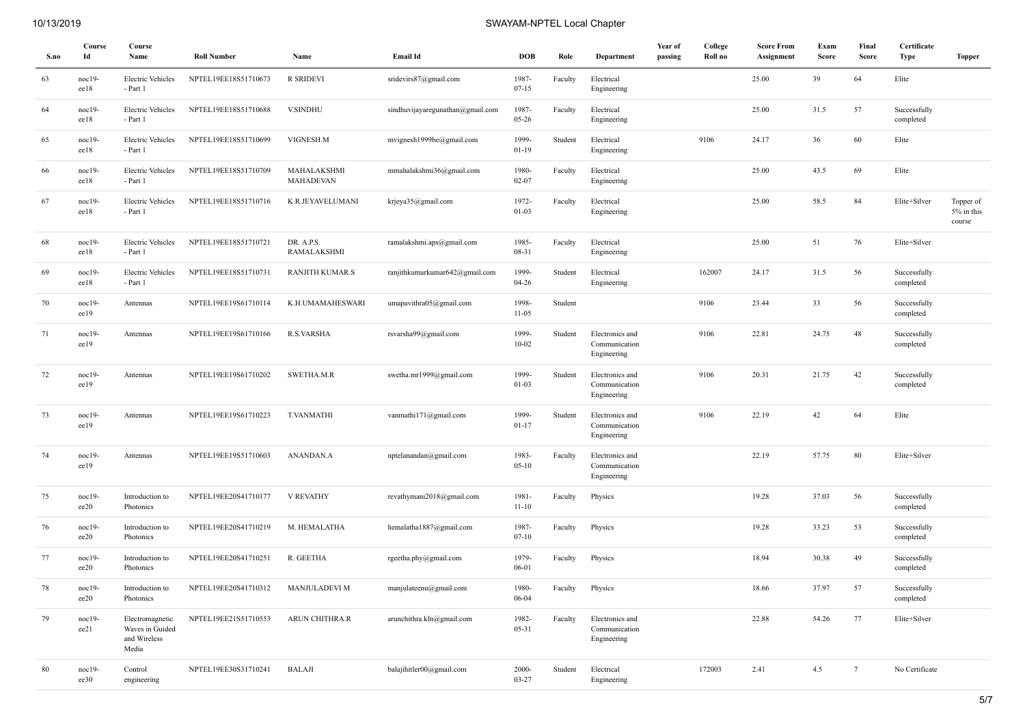| S.no | Course<br>Id     | Course<br>Name                                              | <b>Roll Number</b>                 | Name                      | Email Id                         | <b>DOB</b>            | Role    | Department                                      | Year of<br>passing | College<br>Roll no | <b>Score From</b><br>Assignment | Exam<br>Score | Final<br>Score  | Certificate<br>Type       | Topper                            |
|------|------------------|-------------------------------------------------------------|------------------------------------|---------------------------|----------------------------------|-----------------------|---------|-------------------------------------------------|--------------------|--------------------|---------------------------------|---------------|-----------------|---------------------------|-----------------------------------|
| 63   | noc19-<br>ee18   | <b>Electric Vehicles</b><br>- Part 1                        | NPTEL19EE18S51710673               | R SRIDEVI                 | sridevirs87@gmail.com            | 1987-<br>$07 - 15$    | Faculty | Electrical<br>Engineering                       |                    |                    | 25.00                           | 39            | 64              | Elite                     |                                   |
| 64   | noc19-<br>ee18   | <b>Electric Vehicles</b><br>- Part 1                        | NPTEL19EE18S51710688               | <b>V.SINDHU</b>           | sindhuvijayaregunathan@gmail.com | 1987-<br>$05 - 26$    | Faculty | Electrical<br>Engineering                       |                    |                    | 25.00                           | 31.5          | 57              | Successfully<br>completed |                                   |
| 65   | noc19-<br>ee18   | <b>Electric Vehicles</b><br>- Part 1                        | NPTEL19EE18S51710699               | VIGNESH.M                 | mvignesh1999be@gmail.com         | 1999-<br>$01-19$      | Student | Electrical<br>Engineering                       |                    | 9106               | 24.17                           | 36            | 60              | Elite                     |                                   |
| 66   | $noc19-$<br>ee18 | <b>Electric Vehicles</b><br>- Part 1                        | NPTEL19EE18S51710709               | MAHALAKSHMI<br>MAHADEVAN  | mmahalakshmi36@gmail.com         | 1980-<br>$02 - 07$    | Faculty | Electrical<br>Engineering                       |                    |                    | 25.00                           | 43.5          | 69              | Elite                     |                                   |
| 67   | $noc19-$<br>ee18 | <b>Electric Vehicles</b><br>- Part 1                        | NPTEL19EE18S51710716               | K.R.JEYAVELUMANI          | krjeya35@gmail.com               | 1972-<br>$01-03$      | Faculty | Electrical<br>Engineering                       |                    |                    | 25.00                           | 58.5          | 84              | Elite+Silver              | Topper of<br>5% in this<br>course |
| 68   | $noc19-$<br>ee18 | <b>Electric Vehicles</b><br>- Part 1                        | NPTEL19EE18S51710721               | DR. A.P.S.<br>RAMALAKSHMI | ramalakshmi.aps@gmail.com        | 1985-<br>08-31        | Faculty | Electrical<br>Engineering                       |                    |                    | 25.00                           | 51            | 76              | Elite+Silver              |                                   |
| 69   | $noc19-$<br>ee18 | <b>Electric Vehicles</b><br>- Part 1                        | NPTEL19EE18S51710731               | RANJITH KUMAR.S           | ranjithkumarkumar642@gmail.com   | 1999-<br>$04 - 26$    | Student | Electrical<br>Engineering                       |                    | 162007             | 24.17                           | 31.5          | 56              | Successfully<br>completed |                                   |
| 70   | $noc19-$<br>ee19 | Antennas                                                    | NPTEL19EE19S61710114               | K.H.UMAMAHESWARI          | umapavithra05@gmail.com          | 1998-<br>$11-05$      | Student |                                                 |                    | 9106               | 23.44                           | 33            | 56              | Successfully<br>completed |                                   |
| 71   | $noc19-$<br>ee19 | Antennas                                                    | NPTEL19EE19S61710166               | R.S.VARSHA                | rsvarsha99@gmail.com             | 1999-<br>$10 - 02$    | Student | Electronics and<br>Communication<br>Engineering |                    | 9106               | 22.81                           | 24.75         | 48              | Successfully<br>completed |                                   |
| 72   | noc19-<br>ee19   | Antennas                                                    | NPTEL19EE19S61710202               | SWETHA.M.R                | swetha.mr1999@gmail.com          | 1999-<br>$01 - 03$    | Student | Electronics and<br>Communication<br>Engineering |                    | 9106               | 20.31                           | 21.75         | 42              | Successfully<br>completed |                                   |
| 73   | $noc19-$<br>ee19 | Antennas                                                    | NPTEL19EE19S61710223               | <b>T.VANMATHI</b>         | vanmathi171@gmail.com            | 1999-<br>$01 - 17$    | Student | Electronics and<br>Communication<br>Engineering |                    | 9106               | 22.19                           | 42            | 64              | Elite                     |                                   |
| 74   | $noc19-$<br>ee19 | Antennas                                                    | NPTEL19EE19S51710603               | ANANDAN.A                 | nptelanandan@gmail.com           | 1983-<br>$05 - 10$    | Faculty | Electronics and<br>Communication<br>Engineering |                    |                    | 22.19                           | 57.75         | 80              | Elite+Silver              |                                   |
| 75   | $noc19-$<br>ee20 | Introduction to<br>Photonics                                | NPTEL19EE20S41710177               | <b>V REVATHY</b>          | revathymani2018@gmail.com        | 1981-<br>$11 - 10$    | Faculty | Physics                                         |                    |                    | 19.28                           | 37.03         | 56              | Successfully<br>completed |                                   |
| 76   | noc19-<br>ee20   | Introduction to<br>Photonics                                | NPTEL19EE20S41710219               | M. HEMALATHA              | hemalatha1887@gmail.com          | 1987-<br>$07 - 10$    | Faculty | Physics                                         |                    |                    | 19.28                           | 33.23         | 53              | Successfully<br>completed |                                   |
| 77   | $noc19-$<br>ee20 | Introduction to<br>Photonics                                | NPTEL19EE20S41710251               | R. GEETHA                 | rgeetha.phy@gmail.com            | 1979-<br>06-01        | Faculty | Physics                                         |                    |                    | 18.94                           | 30.38         | 49              | Successfully<br>completed |                                   |
| 78   | noc19-<br>ee20   | Introduction to<br>Photonics                                | NPTEL19EE20S41710312 MANJULADEVI M |                           | manjulateenu@gmail.com           | 1980-<br>06-04        | Faculty | Physics                                         |                    |                    | 18.66                           | 37.97         | 57              | Successfully<br>completed |                                   |
| 79   | noc19-<br>ee21   | Electromagnetic<br>Waves in Guided<br>and Wireless<br>Media | NPTEL19EE21S51710553               | ARUN CHITHRA.R            | arunchithra.kln@gmail.com        | 1982-<br>05-31        | Faculty | Electronics and<br>Communication<br>Engineering |                    |                    | 22.88                           | 54.26         | 77              | Elite+Silver              |                                   |
| 80   | noc19-<br>ee30   | Control<br>engineering                                      | NPTEL19EE30S31710241               | <b>BALAJI</b>             | balajihitler00@gmail.com         | $2000 -$<br>$03 - 27$ | Student | Electrical<br>Engineering                       |                    | 172003             | 2.41                            | 4.5           | $7\phantom{.0}$ | No Certificate            |                                   |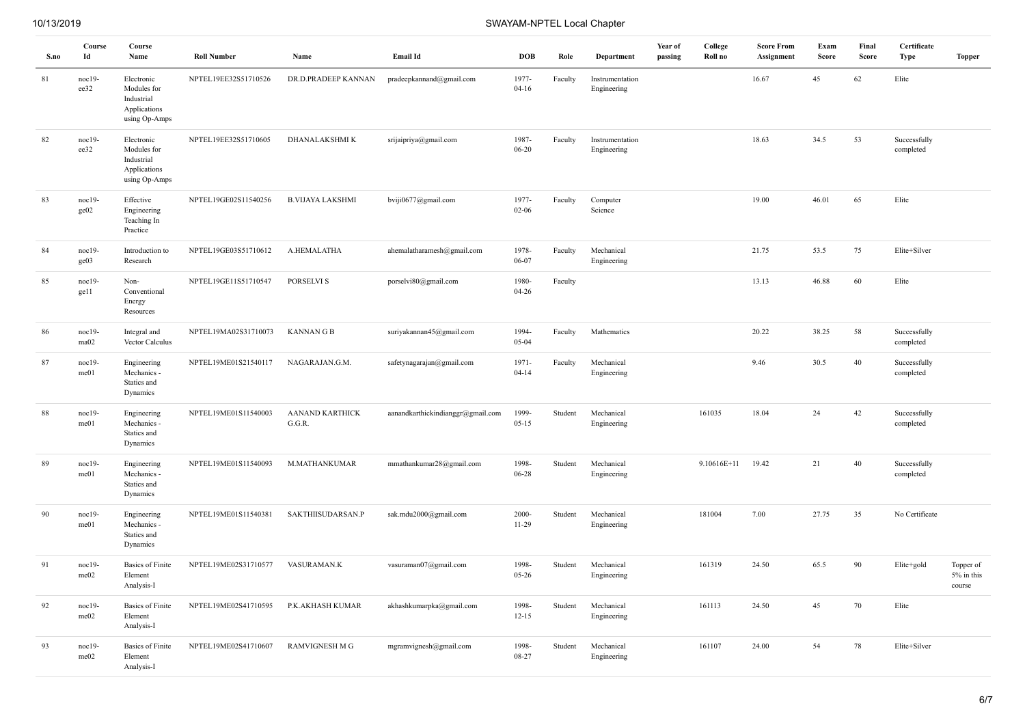| S.no   | Course<br>Id     | Course<br>Name                                                           | <b>Roll Number</b>   | Name                             | Email Id                          | <b>DOB</b>         | Role    | Department                     | Year of<br>passing | College<br>Roll no | <b>Score From</b><br>Assignment | Exam<br>Score | Final<br><b>Score</b> | Certificate<br>Type       | <b>Topper</b>                     |
|--------|------------------|--------------------------------------------------------------------------|----------------------|----------------------------------|-----------------------------------|--------------------|---------|--------------------------------|--------------------|--------------------|---------------------------------|---------------|-----------------------|---------------------------|-----------------------------------|
| 81     | $noc19-$<br>ee32 | Electronic<br>Modules for<br>Industrial<br>Applications<br>using Op-Amps | NPTEL19EE32S51710526 | DR.D.PRADEEP KANNAN              | pradeepkannand@gmail.com          | 1977-<br>$04 - 16$ | Faculty | Instrumentation<br>Engineering |                    |                    | 16.67                           | 45            | 62                    | Elite                     |                                   |
| 82     | $noc19-$<br>ee32 | Electronic<br>Modules for<br>Industrial<br>Applications<br>using Op-Amps | NPTEL19EE32S51710605 | DHANALAKSHMI K                   | srijaipriya@gmail.com             | 1987-<br>$06 - 20$ | Faculty | Instrumentation<br>Engineering |                    |                    | 18.63                           | 34.5          | 53                    | Successfully<br>completed |                                   |
| 83     | $noc19-$<br>ge02 | Effective<br>Engineering<br>Teaching In<br>Practice                      | NPTEL19GE02S11540256 | <b>B.VIJAYA LAKSHMI</b>          | bviji0677@gmail.com               | 1977-<br>$02 - 06$ | Faculty | Computer<br>Science            |                    |                    | 19.00                           | 46.01         | 65                    | Elite                     |                                   |
| 84     | $noc19-$<br>ge03 | Introduction to<br>Research                                              | NPTEL19GE03S51710612 | A.HEMALATHA                      | ahemalatharamesh@gmail.com        | 1978-<br>06-07     | Faculty | Mechanical<br>Engineering      |                    |                    | 21.75                           | 53.5          | 75                    | Elite+Silver              |                                   |
| 85     | $noc19-$<br>ge11 | Non-<br>Conventional<br>Energy<br>Resources                              | NPTEL19GE11S51710547 | PORSELVI S                       | porselvi80@gmail.com              | 1980-<br>$04 - 26$ | Faculty |                                |                    |                    | 13.13                           | 46.88         | 60                    | Elite                     |                                   |
| 86     | noc19-<br>ma02   | Integral and<br>Vector Calculus                                          | NPTEL19MA02S31710073 | <b>KANNANGB</b>                  | suriyakannan45@gmail.com          | 1994-<br>$05 - 04$ | Faculty | Mathematics                    |                    |                    | 20.22                           | 38.25         | 58                    | Successfully<br>completed |                                   |
| 87     | $noc19-$<br>me01 | Engineering<br>Mechanics -<br>Statics and<br>Dynamics                    | NPTEL19ME01S21540117 | NAGARAJAN.G.M.                   | safetynagarajan@gmail.com         | 1971-<br>$04 - 14$ | Faculty | Mechanical<br>Engineering      |                    |                    | 9.46                            | 30.5          | 40                    | Successfully<br>completed |                                   |
| $88\,$ | $noc19-$<br>me01 | Engineering<br>Mechanics -<br>Statics and<br>Dynamics                    | NPTEL19ME01S11540003 | <b>AANAND KARTHICK</b><br>G.G.R. | aanandkarthickindianggr@gmail.com | 1999-<br>$05 - 15$ | Student | Mechanical<br>Engineering      |                    | 161035             | 18.04                           | 24            | 42                    | Successfully<br>completed |                                   |
| 89     | $noc19-$<br>me01 | Engineering<br>Mechanics -<br>Statics and<br>Dynamics                    | NPTEL19ME01S11540093 | M.MATHANKUMAR                    | mmathankumar28@gmail.com          | 1998-<br>$06 - 28$ | Student | Mechanical<br>Engineering      |                    | 9.10616E+11        | 19.42                           | 21            | 40                    | Successfully<br>completed |                                   |
| 90     | $noc19-$<br>me01 | Engineering<br>Mechanics -<br>Statics and<br>Dynamics                    | NPTEL19ME01S11540381 | SAKTHIISUDARSAN.P                | sak.mdu2000@gmail.com             | 2000-<br>$11-29$   | Student | Mechanical<br>Engineering      |                    | 181004             | 7.00                            | 27.75         | 35                    | No Certificate            |                                   |
| 91     | noc19-<br>me02   | <b>Basics</b> of Finite<br>Element<br>Analysis-I                         | NPTEL19ME02S31710577 | VASURAMAN.K                      | vasuraman07@gmail.com             | 1998-<br>$05 - 26$ | Student | Mechanical<br>Engineering      |                    | 161319             | 24.50                           | 65.5          | 90                    | Elite+gold                | Topper of<br>5% in this<br>course |
| 92     | noc19-<br>me02   | <b>Basics of Finite</b><br>Element<br>Analysis-I                         | NPTEL19ME02S41710595 | P.K.AKHASH KUMAR                 | akhashkumarpka@gmail.com          | 1998-<br>$12 - 15$ | Student | Mechanical<br>Engineering      |                    | 161113             | 24.50                           | 45            | 70                    | Elite                     |                                   |
| 93     | $noc19-$<br>me02 | <b>Basics</b> of Finite<br>Element<br>Analysis-I                         | NPTEL19ME02S41710607 | <b>RAMVIGNESH M G</b>            | mgramvignesh@gmail.com            | 1998-<br>08-27     | Student | Mechanical<br>Engineering      |                    | 161107             | 24.00                           | 54            | 78                    | Elite+Silver              |                                   |